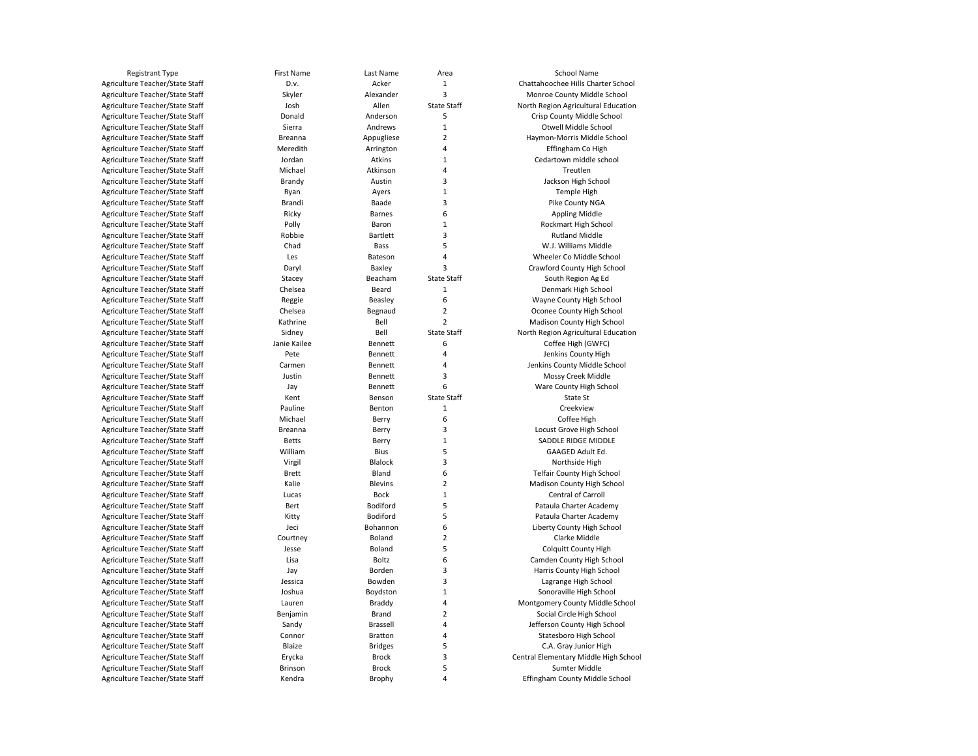| <b>Registrant Type</b>          | <b>First Name</b> | Last Name       | Area               | School Name                           |
|---------------------------------|-------------------|-----------------|--------------------|---------------------------------------|
| Agriculture Teacher/State Staff | D.v.              | Acker           | 1                  | Chattahoochee Hills Charter School    |
| Agriculture Teacher/State Staff | Skyler            | Alexander       | 3                  | Monroe County Middle School           |
| Agriculture Teacher/State Staff | Josh              | Allen           | <b>State Staff</b> | North Region Agricultural Education   |
| Agriculture Teacher/State Staff | Donald            | Anderson        | 5                  | Crisp County Middle School            |
| Agriculture Teacher/State Staff | Sierra            | Andrews         | $\mathbf 1$        | Otwell Middle School                  |
| Agriculture Teacher/State Staff | Breanna           | Appugliese      | $\overline{2}$     | Haymon-Morris Middle School           |
| Agriculture Teacher/State Staff | Meredith          | Arrington       | 4                  | Effingham Co High                     |
| Agriculture Teacher/State Staff | Jordan            | Atkins          | 1                  | Cedartown middle school               |
| Agriculture Teacher/State Staff | Michael           | Atkinson        | 4                  | Treutlen                              |
| Agriculture Teacher/State Staff | Brandy            | Austin          | 3                  | Jackson High School                   |
| Agriculture Teacher/State Staff | Ryan              | Ayers           | $\mathbf 1$        | Temple High                           |
| Agriculture Teacher/State Staff | Brandi            | Baade           | 3                  | Pike County NGA                       |
| Agriculture Teacher/State Staff | Ricky             | <b>Barnes</b>   | 6                  | <b>Appling Middle</b>                 |
| Agriculture Teacher/State Staff | Polly             | Baron           | 1                  | Rockmart High School                  |
| Agriculture Teacher/State Staff | Robbie            | <b>Bartlett</b> | 3                  | <b>Rutland Middle</b>                 |
| Agriculture Teacher/State Staff | Chad              | Bass            | 5                  | W.J. Williams Middle                  |
| Agriculture Teacher/State Staff | Les               | Bateson         | 4                  | Wheeler Co Middle School              |
| Agriculture Teacher/State Staff | Daryl             | Baxley          | 3                  | Crawford County High School           |
| Agriculture Teacher/State Staff | Stacey            | Beacham         | <b>State Staff</b> | South Region Ag Ed                    |
| Agriculture Teacher/State Staff | Chelsea           | Beard           | $\mathbf 1$        | Denmark High School                   |
| Agriculture Teacher/State Staff | Reggie            | Beasley         | 6                  | Wayne County High School              |
| Agriculture Teacher/State Staff | Chelsea           | Begnaud         | $\mathbf 2$        | Oconee County High School             |
| Agriculture Teacher/State Staff | Kathrine          | Bell            | $\overline{2}$     | Madison County High School            |
| Agriculture Teacher/State Staff | Sidney            | Bell            | <b>State Staff</b> | North Region Agricultural Education   |
| Agriculture Teacher/State Staff | Janie Kailee      | Bennett         | 6                  | Coffee High (GWFC)                    |
| Agriculture Teacher/State Staff | Pete              | Bennett         | 4                  | Jenkins County High                   |
| Agriculture Teacher/State Staff | Carmen            | Bennett         | 4                  | Jenkins County Middle School          |
| Agriculture Teacher/State Staff | Justin            | Bennett         | 3                  | Mossy Creek Middle                    |
| Agriculture Teacher/State Staff | Jay               | Bennett         | 6                  | Ware County High School               |
| Agriculture Teacher/State Staff | Kent              | Benson          | <b>State Staff</b> | State St                              |
| Agriculture Teacher/State Staff | Pauline           | Benton          | $\mathbf 1$        | Creekview                             |
| Agriculture Teacher/State Staff | Michael           | Berry           | 6                  | Coffee High                           |
| Agriculture Teacher/State Staff | Breanna           | Berry           | 3                  | Locust Grove High School              |
| Agriculture Teacher/State Staff | <b>Betts</b>      | Berry           | $\mathbf 1$        | SADDLE RIDGE MIDDLE                   |
| Agriculture Teacher/State Staff | William           | <b>Bius</b>     | 5                  | GAAGED Adult Ed.                      |
| Agriculture Teacher/State Staff | Virgil            | <b>Blalock</b>  | 3                  | Northside High                        |
| Agriculture Teacher/State Staff | <b>Brett</b>      | Bland           | 6                  | <b>Telfair County High School</b>     |
| Agriculture Teacher/State Staff | Kalie             | <b>Blevins</b>  | $\overline{2}$     | Madison County High School            |
| Agriculture Teacher/State Staff | Lucas             | <b>Bock</b>     | $\mathbf 1$        | Central of Carroll                    |
| Agriculture Teacher/State Staff | Bert              | Bodiford        | 5                  | Pataula Charter Academy               |
| Agriculture Teacher/State Staff | Kitty             | Bodiford        | 5                  | Pataula Charter Academy               |
| Agriculture Teacher/State Staff | Jeci              | Bohannon        | 6                  | Liberty County High School            |
| Agriculture Teacher/State Staff | Courtney          | Boland          | $\overline{2}$     | Clarke Middle                         |
| Agriculture Teacher/State Staff | Jesse             | Boland          | 5                  | <b>Colquitt County High</b>           |
| Agriculture Teacher/State Staff | Lisa              | Boltz           | 6                  | Camden County High School             |
| Agriculture Teacher/State Staff | Jay               | Borden          | 3                  | Harris County High School             |
| Agriculture Teacher/State Staff | Jessica           | Bowden          | 3                  | Lagrange High School                  |
| Agriculture Teacher/State Staff | Joshua            | Boydston        | 1                  | Sonoraville High School               |
| Agriculture Teacher/State Staff | Lauren            | Braddy          | 4                  | Montgomery County Middle School       |
| Agriculture Teacher/State Staff | Benjamin          | Brand           | $\overline{2}$     | Social Circle High School             |
| Agriculture Teacher/State Staff | Sandy             | Brassell        | 4                  | Jefferson County High School          |
| Agriculture Teacher/State Staff | Connor            | Bratton         | 4                  | Statesboro High School                |
| Agriculture Teacher/State Staff | Blaize            | <b>Bridges</b>  | 5                  | C.A. Gray Junior High                 |
| Agriculture Teacher/State Staff | Erycka            | <b>Brock</b>    | 3                  | Central Elementary Middle High School |
| Agriculture Teacher/State Staff | Brinson           | <b>Brock</b>    | 5                  | Sumter Middle                         |
| Agriculture Teacher/State Staff | Kendra            | Brophy          | 4                  | Effingham County Middle School        |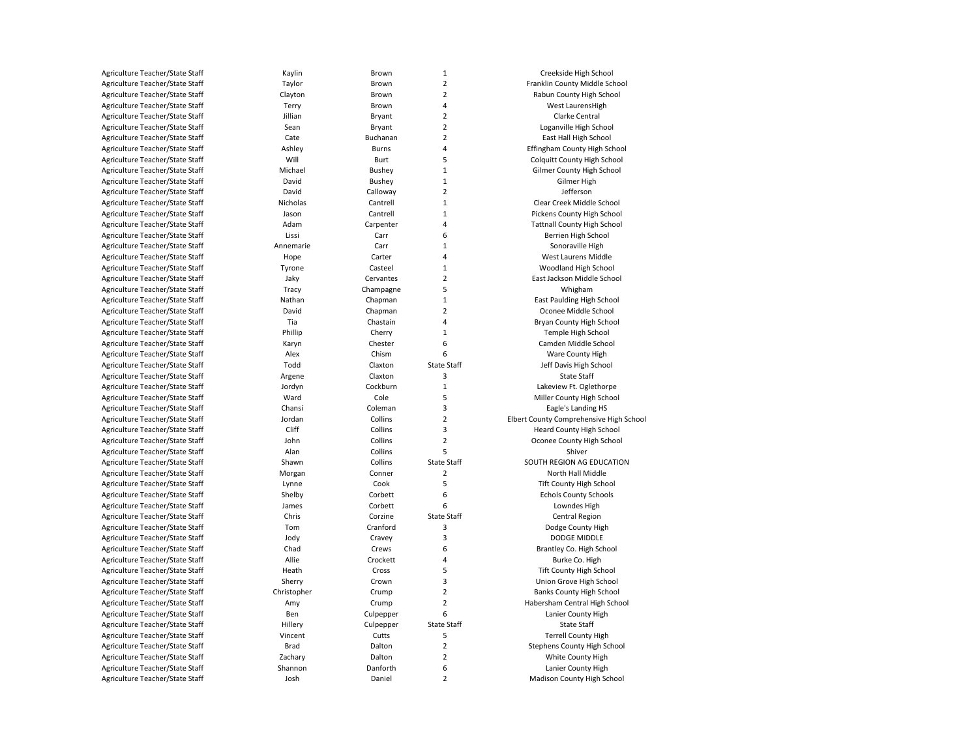| Agriculture Teacher/State Staff | Kaylin      | Brown               | $\mathbf 1$             | Creekside High School                   |
|---------------------------------|-------------|---------------------|-------------------------|-----------------------------------------|
| Agriculture Teacher/State Staff | Taylor      | Brown               | 2                       | Franklin County Middle School           |
| Agriculture Teacher/State Staff | Clayton     | Brown               | 2                       | Rabun County High School                |
| Agriculture Teacher/State Staff | Terry       | Brown               | 4                       | West LaurensHigh                        |
| Agriculture Teacher/State Staff | Jillian     | Bryant              | $\overline{2}$          | Clarke Central                          |
| Agriculture Teacher/State Staff | Sean        | Bryant              | $\overline{2}$          | Loganville High School                  |
| Agriculture Teacher/State Staff | Cate        | Buchanan            | 2                       | East Hall High School                   |
| Agriculture Teacher/State Staff | Ashley      | <b>Burns</b>        | 4                       | Effingham County High School            |
| Agriculture Teacher/State Staff | Will        | Burt                | 5                       | <b>Colquitt County High School</b>      |
| Agriculture Teacher/State Staff | Michael     | Bushey              | $\mathbf{1}$            | Gilmer County High School               |
| Agriculture Teacher/State Staff | David       | <b>Bushey</b>       | $\mathbf 1$             | Gilmer High                             |
| Agriculture Teacher/State Staff | David       | Calloway            | $\overline{2}$          | Jefferson                               |
| Agriculture Teacher/State Staff | Nicholas    | Cantrell            | $\mathbf{1}$            | Clear Creek Middle School               |
| Agriculture Teacher/State Staff | Jason       | Cantrell            | $\mathbf{1}$            | Pickens County High School              |
| Agriculture Teacher/State Staff | Adam        | Carpenter           | 4                       | <b>Tattnall County High School</b>      |
| Agriculture Teacher/State Staff | Lissi       | Carr                | 6                       | Berrien High School                     |
| Agriculture Teacher/State Staff | Annemarie   | Carr                | $\mathbf 1$             | Sonoraville High                        |
| Agriculture Teacher/State Staff | Hope        | Carter              | 4                       | West Laurens Middle                     |
| Agriculture Teacher/State Staff | Tyrone      | Casteel             | $\mathbf{1}$            | Woodland High School                    |
| Agriculture Teacher/State Staff | Jaky        | Cervantes           | $\overline{\mathbf{c}}$ | East Jackson Middle School              |
| Agriculture Teacher/State Staff | Tracy       | Champagne           | 5                       | Whigham                                 |
| Agriculture Teacher/State Staff | Nathan      | Chapman             | $\mathbf{1}$            | East Paulding High School               |
| Agriculture Teacher/State Staff | David       |                     | $\overline{2}$          |                                         |
|                                 | Tia         | Chapman<br>Chastain | 4                       | Oconee Middle School                    |
| Agriculture Teacher/State Staff |             |                     |                         | Bryan County High School                |
| Agriculture Teacher/State Staff | Phillip     | Cherry              | $\mathbf{1}$            | Temple High School                      |
| Agriculture Teacher/State Staff | Karyn       | Chester             | 6                       | Camden Middle School                    |
| Agriculture Teacher/State Staff | Alex        | Chism               | 6                       | Ware County High                        |
| Agriculture Teacher/State Staff | Todd        | Claxton             | <b>State Staff</b>      | Jeff Davis High School                  |
| Agriculture Teacher/State Staff | Argene      | Claxton             | 3                       | <b>State Staff</b>                      |
| Agriculture Teacher/State Staff | Jordyn      | Cockburn            | $\mathbf{1}$            | Lakeview Ft. Oglethorpe                 |
| Agriculture Teacher/State Staff | Ward        | Cole                | 5                       | Miller County High School               |
| Agriculture Teacher/State Staff | Chansi      | Coleman             | 3                       | Eagle's Landing HS                      |
| Agriculture Teacher/State Staff | Jordan      | Collins             | $\overline{2}$          | Elbert County Comprehensive High School |
| Agriculture Teacher/State Staff | Cliff       | Collins             | 3                       | Heard County High School                |
| Agriculture Teacher/State Staff | John        | Collins             | $\overline{2}$          | Oconee County High School               |
| Agriculture Teacher/State Staff | Alan        | Collins             | 5                       | Shiver                                  |
| Agriculture Teacher/State Staff | Shawn       | Collins             | <b>State Staff</b>      | SOUTH REGION AG EDUCATION               |
| Agriculture Teacher/State Staff | Morgan      | Conner              | 2                       | North Hall Middle                       |
| Agriculture Teacher/State Staff | Lynne       | Cook                | 5                       | <b>Tift County High School</b>          |
| Agriculture Teacher/State Staff | Shelby      | Corbett             | 6                       | <b>Echols County Schools</b>            |
| Agriculture Teacher/State Staff | James       | Corbett             | 6                       | Lowndes High                            |
| Agriculture Teacher/State Staff | Chris       | Corzine             | State Staff             | Central Region                          |
| Agriculture Teacher/State Staff | Tom         | Cranford            | 3                       | Dodge County High                       |
| Agriculture Teacher/State Staff | Jody        | Cravey              | 3                       | <b>DODGE MIDDLE</b>                     |
| Agriculture Teacher/State Staff | Chad        | Crews               | 6                       | Brantley Co. High School                |
| Agriculture Teacher/State Staff | Allie       | Crockett            | 4                       | Burke Co. High                          |
| Agriculture Teacher/State Staff | Heath       | Cross               | 5                       | <b>Tift County High School</b>          |
| Agriculture Teacher/State Staff | Sherry      | Crown               | 3                       | Union Grove High School                 |
| Agriculture Teacher/State Staff | Christopher | Crump               | $\overline{2}$          | <b>Banks County High School</b>         |
| Agriculture Teacher/State Staff | Amy         | Crump               | $\overline{2}$          | Habersham Central High School           |
| Agriculture Teacher/State Staff | Ben         | Culpepper           | 6                       | Lanier County High                      |
| Agriculture Teacher/State Staff | Hillery     | Culpepper           | <b>State Staff</b>      | <b>State Staff</b>                      |
| Agriculture Teacher/State Staff | Vincent     | Cutts               | 5                       | <b>Terrell County High</b>              |
| Agriculture Teacher/State Staff | <b>Brad</b> | Dalton              | 2                       | Stephens County High School             |
| Agriculture Teacher/State Staff | Zachary     | Dalton              | $\overline{2}$          | White County High                       |
| Agriculture Teacher/State Staff | Shannon     | Danforth            | 6                       | Lanier County High                      |
| Agriculture Teacher/State Staff | Josh        | Daniel              | $\overline{2}$          | Madison County High School              |
|                                 |             |                     |                         |                                         |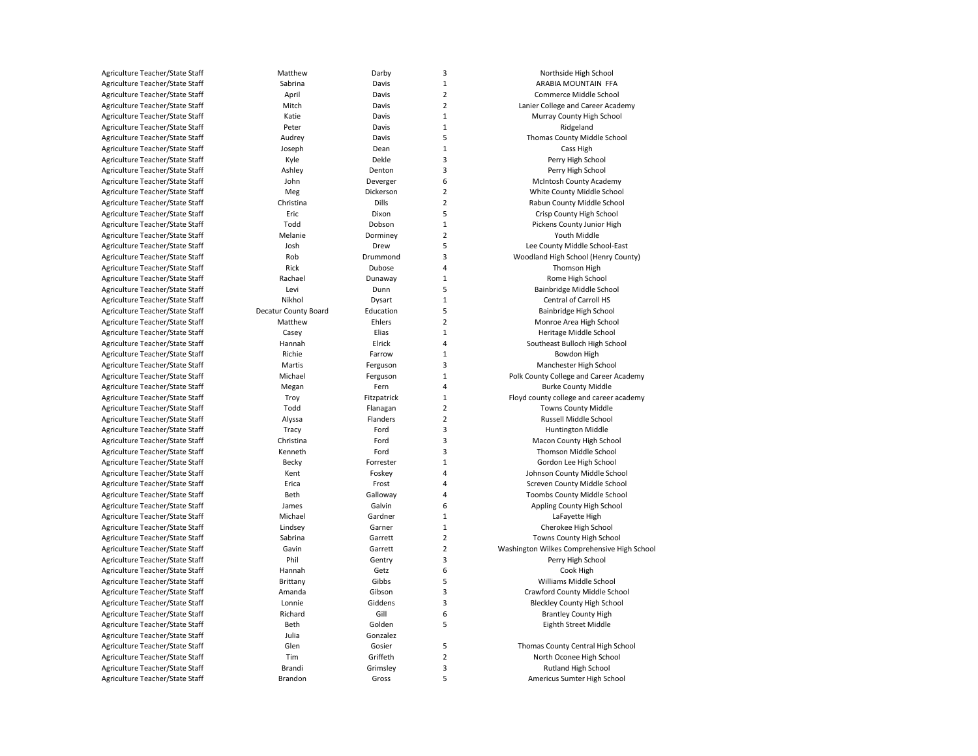| Agriculture Teacher/State Staff | Matthew              | Darby        | з          |
|---------------------------------|----------------------|--------------|------------|
| Agriculture Teacher/State Staff | Sabrina              | Davis        | 1          |
| Agriculture Teacher/State Staff | April                | Davis        | 2          |
| Agriculture Teacher/State Staff | Mitch                | Davis        | 2          |
| Agriculture Teacher/State Staff | Katie                | Davis        | 1          |
| Agriculture Teacher/State Staff | Peter                | Davis        |            |
| Agriculture Teacher/State Staff | Audrey               | Davis        | 5          |
| Agriculture Teacher/State Staff | Joseph               | Dean         | 1          |
| Agriculture Teacher/State Staff | Kyle                 | Dekle        | з          |
| Agriculture Teacher/State Staff | Ashley               | Denton       |            |
| Agriculture Teacher/State Staff | John                 | Deverger     | Е          |
| Agriculture Teacher/State Staff | Meg                  | Dickerson    | 2          |
| Agriculture Teacher/State Staff | Christina            | <b>Dills</b> |            |
| Agriculture Teacher/State Staff | Eric                 | Dixon        | 5          |
| Agriculture Teacher/State Staff | Todd                 | Dobson       | 1          |
| Agriculture Teacher/State Staff | Melanie              | Dorminey     | 2          |
|                                 |                      |              |            |
| Agriculture Teacher/State Staff | Josh                 | Drew         | 5          |
| Agriculture Teacher/State Staff | Rob<br>Rick          | Drummond     | Э          |
| Agriculture Teacher/State Staff |                      | Dubose       |            |
| Agriculture Teacher/State Staff | Rachael              | Dunaway      | 1          |
| Agriculture Teacher/State Staff | Levi                 | Dunn         | 5          |
| Agriculture Teacher/State Staff | Nikhol               | Dysart       |            |
| Agriculture Teacher/State Staff | Decatur County Board | Education    | 5          |
| Agriculture Teacher/State Staff | Matthew              | Ehlers       | 2          |
| Agriculture Teacher/State Staff | Casey                | Elias        | 1          |
| Agriculture Teacher/State Staff | Hannah               | Elrick       |            |
| Agriculture Teacher/State Staff | Richie               | Farrow       | 1          |
| Agriculture Teacher/State Staff | Martis               | Ferguson     | Э          |
| Agriculture Teacher/State Staff | Michael              | Ferguson     |            |
| Agriculture Teacher/State Staff | Megan                | Fern         | 4          |
| Agriculture Teacher/State Staff | Troy                 | Fitzpatrick  | 1          |
| Agriculture Teacher/State Staff | Todd                 | Flanagan     | 2          |
| Agriculture Teacher/State Staff | Alyssa               | Flanders     | 2          |
| Agriculture Teacher/State Staff | Tracy                | Ford         | з          |
| Agriculture Teacher/State Staff | Christina            | Ford         | з          |
| Agriculture Teacher/State Staff | Kenneth              | Ford         | З          |
| Agriculture Teacher/State Staff | Becky                | Forrester    | 1          |
| Agriculture Teacher/State Staff | Kent                 | Foskey       |            |
| Agriculture Teacher/State Staff | Erica                | Frost        | 4          |
| Agriculture Teacher/State Staff | Beth                 | Galloway     |            |
| Agriculture Teacher/State Staff | James                | Galvin       | Е          |
| Agriculture Teacher/State Staff | Michael              | Gardner      |            |
| Agriculture Teacher/State Staff | Lindsey              | Garner       | 1          |
| Agriculture Teacher/State Staff | Sabrina              | Garrett      | 2          |
| Agriculture Teacher/State Staff | Gavin                | Garrett      |            |
| Agriculture Teacher/State Staff | Phil                 | Gentry       | Э          |
| Agriculture Teacher/State Staff | Hannah               | Getz         | Е          |
| Agriculture Teacher/State Staff | Brittany             | Gibbs        | 5          |
| Agriculture Teacher/State Staff | Amanda               | Gibson       | Э          |
| Agriculture Teacher/State Staff | Lonnie               | Giddens      | Э          |
| Agriculture Teacher/State Staff | Richard              | Gill         | $\epsilon$ |
| Agriculture Teacher/State Staff | Beth                 | Golden       | 5          |
| Agriculture Teacher/State Staff | Julia                | Gonzalez     |            |
| Agriculture Teacher/State Staff | Glen                 | Gosier       | 5          |
| Agriculture Teacher/State Staff | Tim                  | Griffeth     | 2          |
| Agriculture Teacher/State Staff | Brandi               | Grimsley     | 3          |
| Agriculture Teacher/State Staff | Brandon              | Gross        | 5          |
|                                 |                      |              |            |

Northside High School ARABIA MOUNTAIN FFA 2 Commerce Middle School Lanier College and Career Academy Murray County High School Ridgeland Thomas County Middle School Cass High Perry High School Perry High School McIntosh County Academy 2 White County Middle School Rabun County Middle School 5 Crisp County High School Pickens County Junior High Youth Middle Lee County Middle School-East 3 Woodland High School (Henry County) Thomson High Rome High School 5 Bainbridge Middle School Central of Carroll HS 5 Bainbridge High School Monroe Area High School 1 Heritage Middle School Southeast Bulloch High School Bowdon High Manchester High School Polk County College and Career Academy **Burke County Middle** 1 Floyd county college and career academy **Towns County Middle** 2 Russell Middle School 3 Huntington Middle Macon County High School Thomson Middle School Gordon Lee High School 4 Johnson County Middle School Screven County Middle School Toombs County Middle School 6 Appling County High School LaFayette High Cherokee High School **Towns County High School** 2 Washington Wilkes Comprehensive High School Perry High School Cook High 5 Williams Middle School 3 Crawford County Middle School Bleckley County High School **Brantley County High** 5 Eighth Street Middle 5 Thomas County Central High School North Oconee High School 3 Rutland High School 5 Americus Sumter High School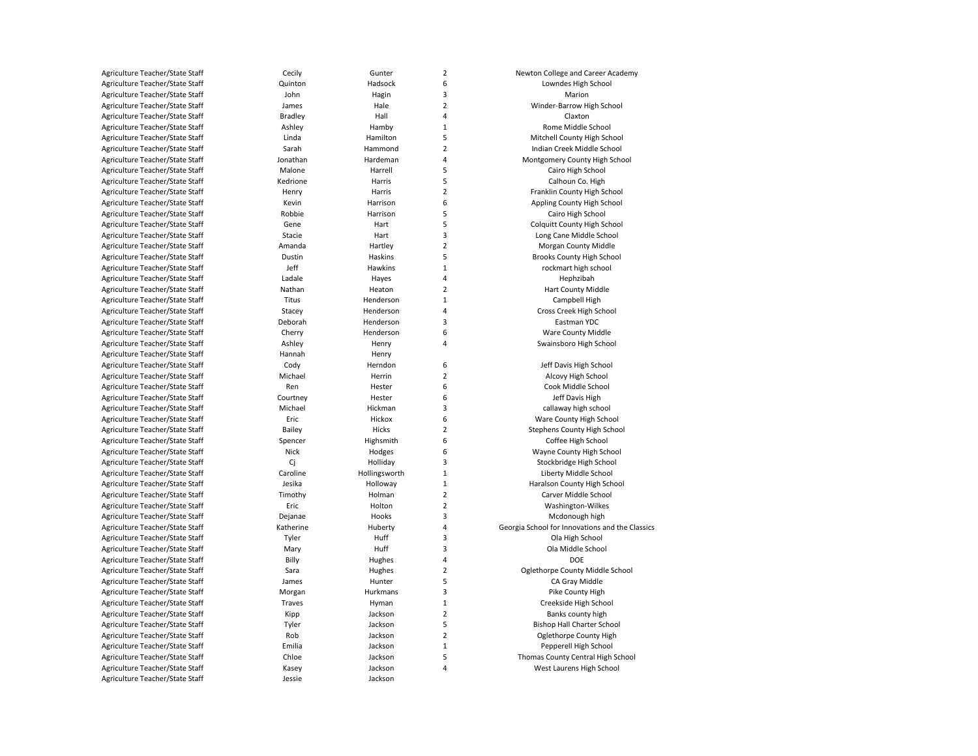| Agriculture Teacher/State Staff | Cecily         | Gunter        | $\overline{\mathbf{c}}$ | Newton College and Career Academy               |
|---------------------------------|----------------|---------------|-------------------------|-------------------------------------------------|
| Agriculture Teacher/State Staff | Quinton        | Hadsock       | 6                       | Lowndes High School                             |
| Agriculture Teacher/State Staff | John           | Hagin         | 3                       | Marion                                          |
| Agriculture Teacher/State Staff | James          | Hale          | $\overline{2}$          | Winder-Barrow High School                       |
| Agriculture Teacher/State Staff | <b>Bradley</b> | Hall          | 4                       | Claxton                                         |
| Agriculture Teacher/State Staff | Ashley         | Hamby         | $\mathbf 1$             | Rome Middle School                              |
| Agriculture Teacher/State Staff | Linda          | Hamilton      | 5                       | Mitchell County High School                     |
| Agriculture Teacher/State Staff | Sarah          | Hammond       | $\overline{2}$          | Indian Creek Middle School                      |
| Agriculture Teacher/State Staff | Jonathan       | Hardeman      | 4                       | Montgomery County High School                   |
| Agriculture Teacher/State Staff | Malone         | Harrell       | 5                       | Cairo High School                               |
| Agriculture Teacher/State Staff | Kedrione       | Harris        | 5                       | Calhoun Co. High                                |
| Agriculture Teacher/State Staff | Henry          | Harris        | $\mathbf 2$             | Franklin County High School                     |
| Agriculture Teacher/State Staff | Kevin          | Harrison      | 6                       | Appling County High School                      |
| Agriculture Teacher/State Staff | Robbie         | Harrison      | 5                       | Cairo High School                               |
| Agriculture Teacher/State Staff | Gene           | Hart          | 5                       | <b>Colquitt County High School</b>              |
| Agriculture Teacher/State Staff | Stacie         | Hart          | 3                       | Long Cane Middle School                         |
| Agriculture Teacher/State Staff | Amanda         | Hartley       | $\overline{2}$          | Morgan County Middle                            |
| Agriculture Teacher/State Staff | Dustin         | Haskins       | 5                       | Brooks County High School                       |
| Agriculture Teacher/State Staff | Jeff           | Hawkins       | $\mathbf 1$             | rockmart high school                            |
| Agriculture Teacher/State Staff | Ladale         | Hayes         | 4                       | Hephzibah                                       |
| Agriculture Teacher/State Staff | Nathan         | Heaton        | $\overline{2}$          | <b>Hart County Middle</b>                       |
| Agriculture Teacher/State Staff | Titus          | Henderson     | 1                       | Campbell High                                   |
| Agriculture Teacher/State Staff | Stacey         | Henderson     | 4                       | Cross Creek High School                         |
| Agriculture Teacher/State Staff |                | Henderson     | 3                       | Eastman YDC                                     |
|                                 | Deborah        |               |                         |                                                 |
| Agriculture Teacher/State Staff | Cherry         | Henderson     | 6                       | Ware County Middle                              |
| Agriculture Teacher/State Staff | Ashley         | Henry         | 4                       | Swainsboro High School                          |
| Agriculture Teacher/State Staff | Hannah         | Henry         |                         |                                                 |
| Agriculture Teacher/State Staff | Cody           | Herndon       | 6                       | Jeff Davis High School                          |
| Agriculture Teacher/State Staff | Michael        | Herrin        | $\overline{2}$          | Alcovy High School                              |
| Agriculture Teacher/State Staff | Ren            | Hester        | 6                       | Cook Middle School                              |
| Agriculture Teacher/State Staff | Courtney       | Hester        | 6                       | Jeff Davis High                                 |
| Agriculture Teacher/State Staff | Michael        | Hickman       | 3                       | callaway high school                            |
| Agriculture Teacher/State Staff | Eric           | Hickox        | 6                       | Ware County High School                         |
| Agriculture Teacher/State Staff | Bailey         | Hicks         | $\overline{2}$          | Stephens County High School                     |
| Agriculture Teacher/State Staff | Spencer        | Highsmith     | 6                       | Coffee High School                              |
| Agriculture Teacher/State Staff | Nick           | Hodges        | 6                       | Wayne County High School                        |
| Agriculture Teacher/State Staff | Cj             | Holliday      | 3                       | Stockbridge High School                         |
| Agriculture Teacher/State Staff | Caroline       | Hollingsworth | $\mathbf 1$             | Liberty Middle School                           |
| Agriculture Teacher/State Staff | Jesika         | Holloway      | 1                       | Haralson County High School                     |
| Agriculture Teacher/State Staff | Timothy        | Holman        | $\overline{2}$          | Carver Middle School                            |
| Agriculture Teacher/State Staff | Eric           | Holton        | $\overline{2}$          | Washington-Wilkes                               |
| Agriculture Teacher/State Staff | Dejanae        | Hooks         | 3                       | Mcdonough high                                  |
| Agriculture Teacher/State Staff | Katherine      | Huberty       | 4                       | Georgia School for Innovations and the Classics |
| Agriculture Teacher/State Staff | Tyler          | Huff          | 3                       | Ola High School                                 |
| Agriculture Teacher/State Staff | Mary           | Huff          | 3                       | Ola Middle School                               |
| Agriculture Teacher/State Staff | Billy          | Hughes        | 4                       | <b>DOE</b>                                      |
| Agriculture Teacher/State Staff | Sara           | Hughes        | $\overline{2}$          | Oglethorpe County Middle School                 |
| Agriculture Teacher/State Staff | James          | Hunter        | 5                       | CA Gray Middle                                  |
| Agriculture Teacher/State Staff | Morgan         | Hurkmans      | 3                       | Pike County High                                |
| Agriculture Teacher/State Staff | Traves         | Hyman         | $\mathbf 1$             | Creekside High School                           |
| Agriculture Teacher/State Staff | Kipp           | Jackson       | $\overline{2}$          | Banks county high                               |
| Agriculture Teacher/State Staff | Tyler          | Jackson       | 5                       | <b>Bishop Hall Charter School</b>               |
| Agriculture Teacher/State Staff | Rob            | Jackson       | $\overline{2}$          | Oglethorpe County High                          |
| Agriculture Teacher/State Staff | Emilia         | Jackson       | $\mathbf{1}$            | Pepperell High School                           |
| Agriculture Teacher/State Staff | Chloe          | Jackson       | 5                       | Thomas County Central High School               |
| Agriculture Teacher/State Staff | Kasey          | Jackson       | 4                       | West Laurens High School                        |
| Agriculture Teacher/State Staff | Jessie         | Jackson       |                         |                                                 |
|                                 |                |               |                         |                                                 |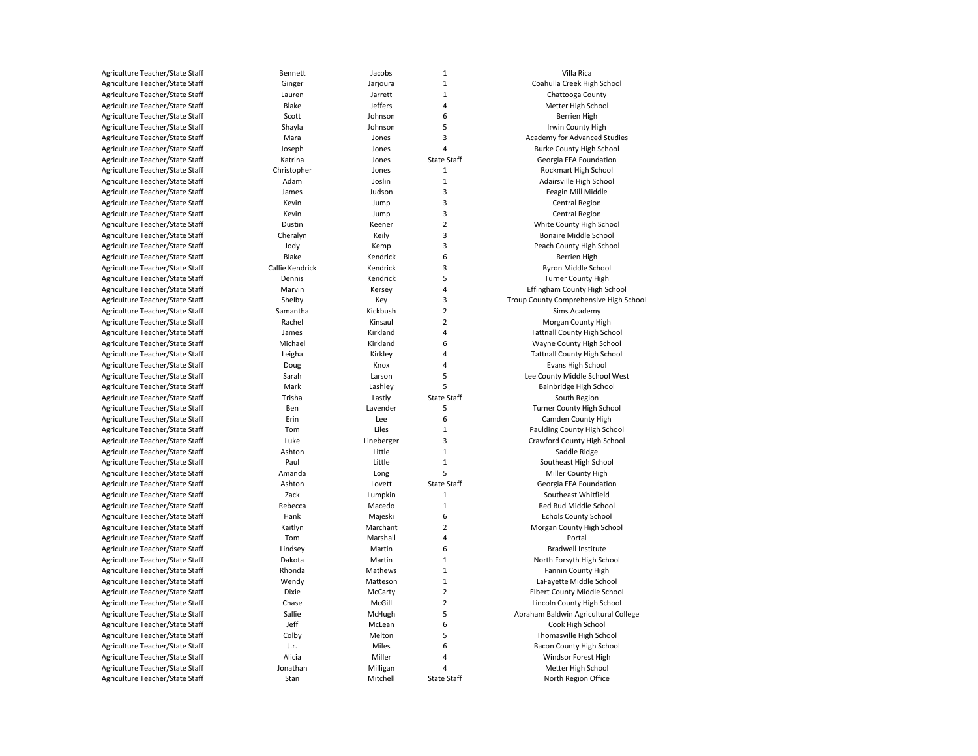| Agriculture Teacher/State Staff | Bennett         | Jacobs     |
|---------------------------------|-----------------|------------|
| Agriculture Teacher/State Staff | Ginger          | Jarjoura   |
| Agriculture Teacher/State Staff | Lauren          | Jarrett    |
| Agriculture Teacher/State Staff | Blake           | Jeffers    |
| Agriculture Teacher/State Staff | Scott           | Johnson    |
| Agriculture Teacher/State Staff | Shayla          | Johnson    |
| Agriculture Teacher/State Staff | Mara            | Jones      |
| Agriculture Teacher/State Staff | Joseph          | Jones      |
| Agriculture Teacher/State Staff | Katrina         | Jones      |
| Agriculture Teacher/State Staff | Christopher     | Jones      |
| Agriculture Teacher/State Staff | Adam            | Joslin     |
| Agriculture Teacher/State Staff | James           | Judson     |
| Agriculture Teacher/State Staff | Kevin           | Jump       |
| Agriculture Teacher/State Staff | Kevin           | Jump       |
| Agriculture Teacher/State Staff | Dustin          | Keener     |
| Agriculture Teacher/State Staff | Cheralyn        | Keily      |
| Agriculture Teacher/State Staff | Jody            | Kemp       |
| Agriculture Teacher/State Staff | Blake           | Kendrick   |
| Agriculture Teacher/State Staff | Callie Kendrick | Kendrick   |
| Agriculture Teacher/State Staff | Dennis          | Kendrick   |
| Agriculture Teacher/State Staff | Marvin          | Kersey     |
| Agriculture Teacher/State Staff | Shelby          | Key        |
| Agriculture Teacher/State Staff | Samantha        | Kickbush   |
| Agriculture Teacher/State Staff | Rachel          | Kinsaul    |
| Agriculture Teacher/State Staff | James           | Kirkland   |
| Agriculture Teacher/State Staff | Michael         | Kirkland   |
| Agriculture Teacher/State Staff | Leigha          | Kirkley    |
| Agriculture Teacher/State Staff | Doug            | Knox       |
| Agriculture Teacher/State Staff | Sarah           | Larson     |
| Agriculture Teacher/State Staff | Mark            | Lashley    |
| Agriculture Teacher/State Staff | Trisha          | Lastly     |
| Agriculture Teacher/State Staff | Ben             | Lavender   |
| Agriculture Teacher/State Staff | Erin            | Lee        |
| Agriculture Teacher/State Staff | Tom             | Liles      |
| Agriculture Teacher/State Staff | Luke            | Lineberger |
| Agriculture Teacher/State Staff | Ashton          | Little     |
| Agriculture Teacher/State Staff | Paul            | Little     |
| Agriculture Teacher/State Staff | Amanda          | Long       |
| Agriculture Teacher/State Staff | Ashton          | Lovett     |
| Agriculture Teacher/State Staff | Zack            | Lumpkin    |
| Agriculture Teacher/State Staff | Rebecca         | Macedo     |
| Agriculture Teacher/State Staff | Hank            | Majeski    |
| Agriculture Teacher/State Staff | Kaitlyn         | Marchant   |
| Agriculture Teacher/State Staff | Tom             | Marshall   |
| Agriculture Teacher/State Staff | Lindsey         | Martin     |
| Agriculture Teacher/State Staff | Dakota          | Martin     |
| Agriculture Teacher/State Staff | Rhonda          | Mathews    |
| Agriculture Teacher/State Staff | Wendy           | Matteson   |
| Agriculture Teacher/State Staff | <b>Dixie</b>    | McCarty    |
| Agriculture Teacher/State Staff | Chase           | McGill     |
| Agriculture Teacher/State Staff | Sallie          | McHugh     |
| Agriculture Teacher/State Staff | Jeff            | McLean     |
| Agriculture Teacher/State Staff | Colby           | Melton     |
| Agriculture Teacher/State Staff | J.r.            | Miles      |
| Agriculture Teacher/State Staff | Alicia          | Miller     |
| Agriculture Teacher/State Staff | Jonathan        | Milligan   |
| Agriculture Teacher/State Staff | Stan            | Mitchell   |
|                                 |                 |            |

| Agriculture Teacher/State Staff | Bennett         | Jacobs          | 1                  | Villa Rica                             |
|---------------------------------|-----------------|-----------------|--------------------|----------------------------------------|
| Agriculture Teacher/State Staff | Ginger          | Jarjoura        | $\mathbf 1$        | Coahulla Creek High School             |
| Agriculture Teacher/State Staff | Lauren          | Jarrett         | $\mathbf 1$        | Chattooga County                       |
| Agriculture Teacher/State Staff | Blake           | Jeffers         | 4                  | Metter High School                     |
| Agriculture Teacher/State Staff | Scott           | Johnson         | 6                  | <b>Berrien High</b>                    |
| Agriculture Teacher/State Staff | Shayla          | Johnson         | 5                  | Irwin County High                      |
| Agriculture Teacher/State Staff | Mara            | Jones           | 3                  | Academy for Advanced Studies           |
| Agriculture Teacher/State Staff | Joseph          | Jones           | 4                  | <b>Burke County High School</b>        |
| Agriculture Teacher/State Staff | Katrina         | Jones           | <b>State Staff</b> | Georgia FFA Foundation                 |
| Agriculture Teacher/State Staff | Christopher     | Jones           | 1                  | Rockmart High School                   |
| Agriculture Teacher/State Staff | Adam            | Joslin          | $\mathbf{1}$       | Adairsville High School                |
| Agriculture Teacher/State Staff | James           | Judson          | 3                  | Feagin Mill Middle                     |
| Agriculture Teacher/State Staff | Kevin           | Jump            | 3                  | Central Region                         |
| Agriculture Teacher/State Staff | Kevin           | Jump            | 3                  | Central Region                         |
| Agriculture Teacher/State Staff | Dustin          | Keener          | $\overline{2}$     | White County High School               |
| Agriculture Teacher/State Staff | Cheralyn        | Keily           | 3                  | Bonaire Middle School                  |
| Agriculture Teacher/State Staff | Jody            | Kemp            | 3                  | Peach County High School               |
| Agriculture Teacher/State Staff | Blake           | Kendrick        | 6                  | <b>Berrien High</b>                    |
| Agriculture Teacher/State Staff | Callie Kendrick | Kendrick        | 3                  | Byron Middle School                    |
| Agriculture Teacher/State Staff | Dennis          | Kendrick        | 5                  | <b>Turner County High</b>              |
| Agriculture Teacher/State Staff | Marvin          | Kersey          | 4                  | Effingham County High School           |
| Agriculture Teacher/State Staff | Shelby          |                 | 3                  | Troup County Comprehensive High School |
| Agriculture Teacher/State Staff | Samantha        | Key<br>Kickbush | $\overline{2}$     | Sims Academy                           |
| Agriculture Teacher/State Staff | Rachel          | Kinsaul         | $\overline{2}$     | Morgan County High                     |
|                                 |                 |                 | 4                  |                                        |
| Agriculture Teacher/State Staff | James           | Kirkland        |                    | <b>Tattnall County High School</b>     |
| Agriculture Teacher/State Staff | Michael         | Kirkland        | 6                  | Wayne County High School               |
| Agriculture Teacher/State Staff | Leigha          | Kirkley         | 4                  | <b>Tattnall County High School</b>     |
| Agriculture Teacher/State Staff | Doug            | Knox            | 4                  | Evans High School                      |
| Agriculture Teacher/State Staff | Sarah           | Larson          | 5                  | Lee County Middle School West          |
| Agriculture Teacher/State Staff | Mark            | Lashley         | 5                  | Bainbridge High School                 |
| Agriculture Teacher/State Staff | Trisha          | Lastly          | <b>State Staff</b> | South Region                           |
| Agriculture Teacher/State Staff | Ben             | Lavender        | 5                  | Turner County High School              |
| Agriculture Teacher/State Staff | Erin            | Lee             | 6                  | Camden County High                     |
| Agriculture Teacher/State Staff | Tom             | Liles           | $\mathbf{1}$       | Paulding County High School            |
| Agriculture Teacher/State Staff | Luke            | Lineberger      | 3                  | Crawford County High School            |
| Agriculture Teacher/State Staff | Ashton          | Little          | $\mathbf{1}$       | Saddle Ridge                           |
| Agriculture Teacher/State Staff | Paul            | Little          | $\mathbf 1$        | Southeast High School                  |
| Agriculture Teacher/State Staff | Amanda          | Long            | 5                  | Miller County High                     |
| Agriculture Teacher/State Staff | Ashton          | Lovett          | <b>State Staff</b> | Georgia FFA Foundation                 |
| Agriculture Teacher/State Staff | Zack            | Lumpkin         | $\mathbf{1}$       | Southeast Whitfield                    |
| Agriculture Teacher/State Staff | Rebecca         | Macedo          | $\mathbf{1}$       | Red Bud Middle School                  |
| Agriculture Teacher/State Staff | Hank            | Majeski         | 6                  | <b>Echols County School</b>            |
| Agriculture Teacher/State Staff | Kaitlyn         | Marchant        | $\overline{2}$     | Morgan County High School              |
| Agriculture Teacher/State Staff | Tom             | Marshall        | 4                  | Portal                                 |
| Agriculture Teacher/State Staff | Lindsey         | Martin          | 6                  | <b>Bradwell Institute</b>              |
| Agriculture Teacher/State Staff | Dakota          | Martin          | $\mathbf{1}$       | North Forsyth High School              |
| Agriculture Teacher/State Staff | Rhonda          | Mathews         | $\mathbf{1}$       | Fannin County High                     |
| Agriculture Teacher/State Staff | Wendy           | Matteson        | $\mathbf 1$        | LaFayette Middle School                |
| Agriculture Teacher/State Staff | Dixie           | McCarty         | $\overline{2}$     | Elbert County Middle School            |
| Agriculture Teacher/State Staff | Chase           | McGill          | $\overline{2}$     | Lincoln County High School             |
| Agriculture Teacher/State Staff | Sallie          | McHugh          | 5                  | Abraham Baldwin Agricultural College   |
| Agriculture Teacher/State Staff | Jeff            | McLean          | 6                  | Cook High School                       |
| Agriculture Teacher/State Staff | Colby           | Melton          | 5                  | Thomasville High School                |
| Agriculture Teacher/State Staff | J.r.            | Miles           | 6                  | Bacon County High School               |
| Agriculture Teacher/State Staff | Alicia          | Miller          | 4                  | Windsor Forest High                    |
| Agriculture Teacher/State Staff | Jonathan        | Milligan        | 4                  | Metter High School                     |
| Agriculture Teacher/State Staff | Stan            | Mitchell        | <b>State Staff</b> | North Region Office                    |
|                                 |                 |                 |                    |                                        |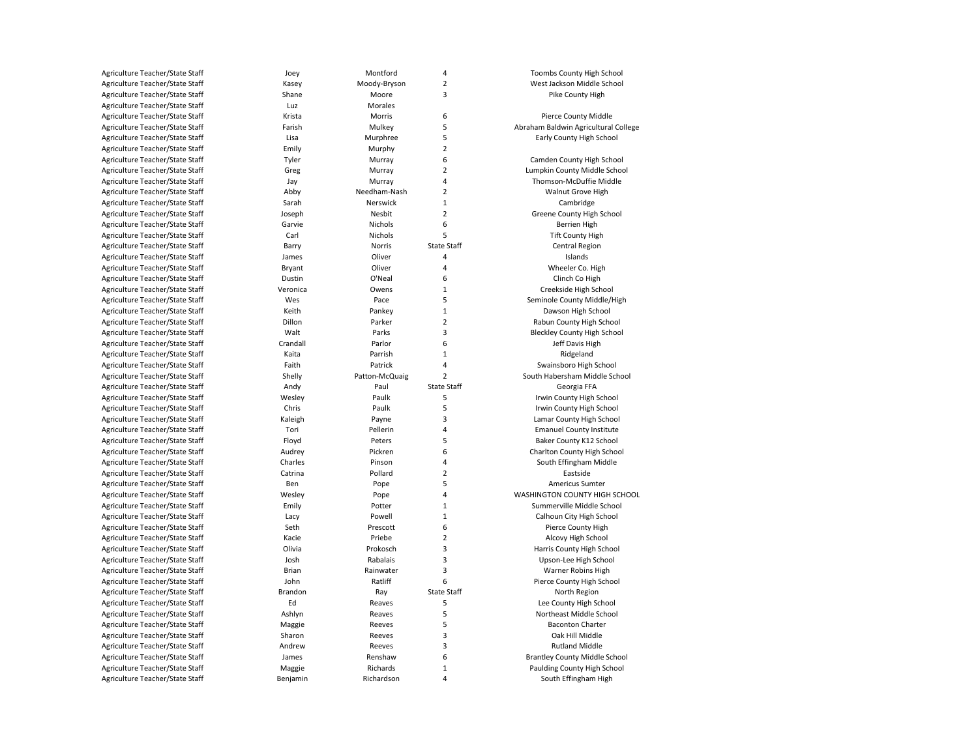| Agriculture Teacher/State Staff | Joey     | Montford       | 4                  | Toombs County High School            |
|---------------------------------|----------|----------------|--------------------|--------------------------------------|
| Agriculture Teacher/State Staff | Kasey    | Moody-Bryson   | $\overline{2}$     | West Jackson Middle School           |
| Agriculture Teacher/State Staff | Shane    | Moore          | 3                  | Pike County High                     |
| Agriculture Teacher/State Staff | Luz      | Morales        |                    |                                      |
| Agriculture Teacher/State Staff | Krista   | Morris         | 6                  | Pierce County Middle                 |
| Agriculture Teacher/State Staff | Farish   | Mulkey         | 5                  | Abraham Baldwin Agricultural College |
| Agriculture Teacher/State Staff | Lisa     | Murphree       | 5                  | Early County High School             |
| Agriculture Teacher/State Staff | Emily    | Murphy         | $\overline{2}$     |                                      |
| Agriculture Teacher/State Staff | Tyler    | Murray         | 6                  | Camden County High School            |
| Agriculture Teacher/State Staff | Greg     | Murray         | $\overline{2}$     | Lumpkin County Middle School         |
| Agriculture Teacher/State Staff | Jay      | Murray         | 4                  | Thomson-McDuffie Middle              |
| Agriculture Teacher/State Staff | Abby     | Needham-Nash   | $\overline{2}$     | Walnut Grove High                    |
| Agriculture Teacher/State Staff | Sarah    | Nerswick       | 1                  | Cambridge                            |
| Agriculture Teacher/State Staff | Joseph   | Nesbit         | $\overline{2}$     | Greene County High School            |
| Agriculture Teacher/State Staff | Garvie   | Nichols        | 6                  | <b>Berrien High</b>                  |
| Agriculture Teacher/State Staff | Carl     | Nichols        | 5                  | <b>Tift County High</b>              |
| Agriculture Teacher/State Staff | Barry    | Norris         | <b>State Staff</b> | Central Region                       |
| Agriculture Teacher/State Staff | James    | Oliver         | 4                  | Islands                              |
| Agriculture Teacher/State Staff | Bryant   | Oliver         | 4                  | Wheeler Co. High                     |
| Agriculture Teacher/State Staff | Dustin   | O'Neal         | 6                  | Clinch Co High                       |
| Agriculture Teacher/State Staff | Veronica | Owens          | $\mathbf{1}$       | Creekside High School                |
| Agriculture Teacher/State Staff | Wes      | Pace           | 5                  | Seminole County Middle/High          |
| Agriculture Teacher/State Staff | Keith    | Pankey         | $\mathbf{1}$       | Dawson High School                   |
| Agriculture Teacher/State Staff | Dillon   | Parker         | $\overline{2}$     | Rabun County High School             |
| Agriculture Teacher/State Staff | Walt     | Parks          | 3                  | <b>Bleckley County High School</b>   |
| Agriculture Teacher/State Staff | Crandall | Parlor         | 6                  | Jeff Davis High                      |
| Agriculture Teacher/State Staff | Kaita    | Parrish        | $\mathbf 1$        | Ridgeland                            |
| Agriculture Teacher/State Staff | Faith    | Patrick        | 4                  | Swainsboro High School               |
| Agriculture Teacher/State Staff | Shelly   | Patton-McQuaig | $\overline{2}$     | South Habersham Middle School        |
| Agriculture Teacher/State Staff | Andy     | Paul           | <b>State Staff</b> | Georgia FFA                          |
|                                 |          | Paulk          | 5                  |                                      |
| Agriculture Teacher/State Staff | Wesley   |                | 5                  | Irwin County High School             |
| Agriculture Teacher/State Staff | Chris    | Paulk          | 3                  | Irwin County High School             |
| Agriculture Teacher/State Staff | Kaleigh  | Payne          |                    | Lamar County High School             |
| Agriculture Teacher/State Staff | Tori     | Pellerin       | 4                  | <b>Emanuel County Institute</b>      |
| Agriculture Teacher/State Staff | Floyd    | Peters         | 5                  | Baker County K12 School              |
| Agriculture Teacher/State Staff | Audrey   | Pickren        | 6                  | Charlton County High School          |
| Agriculture Teacher/State Staff | Charles  | Pinson         | 4                  | South Effingham Middle               |
| Agriculture Teacher/State Staff | Catrina  | Pollard        | $\overline{2}$     | Eastside                             |
| Agriculture Teacher/State Staff | Ben      | Pope           | 5                  | <b>Americus Sumter</b>               |
| Agriculture Teacher/State Staff | Wesley   | Pope           | 4                  | WASHINGTON COUNTY HIGH SCHOOL        |
| Agriculture Teacher/State Staff | Emily    | Potter         | $\mathbf 1$        | Summerville Middle School            |
| Agriculture Teacher/State Staff | Lacy     | Powell         | $\mathbf{1}$       | Calhoun City High School             |
| Agriculture Teacher/State Staff | Seth     | Prescott       | 6                  | Pierce County High                   |
| Agriculture Teacher/State Staff | Kacie    | Priebe         | $\overline{2}$     | Alcovy High School                   |
| Agriculture Teacher/State Staff | Olivia   | Prokosch       | 3                  | Harris County High School            |
| Agriculture Teacher/State Staff | Josh     | Rabalais       | 3                  | Upson-Lee High School                |
| Agriculture Teacher/State Staff | Brian    | Rainwater      | 3                  | Warner Robins High                   |
| Agriculture Teacher/State Staff | John     | Ratliff        | 6                  | Pierce County High School            |
| Agriculture Teacher/State Staff | Brandon  | Ray            | <b>State Staff</b> | North Region                         |
| Agriculture Teacher/State Staff | Ed       | Reaves         | 5                  | Lee County High School               |
| Agriculture Teacher/State Staff | Ashlyn   | Reaves         | 5                  | Northeast Middle School              |
| Agriculture Teacher/State Staff | Maggie   | Reeves         | 5                  | <b>Baconton Charter</b>              |
| Agriculture Teacher/State Staff | Sharon   | Reeves         | 3                  | Oak Hill Middle                      |
| Agriculture Teacher/State Staff | Andrew   | Reeves         | 3                  | <b>Rutland Middle</b>                |
| Agriculture Teacher/State Staff | James    | Renshaw        | 6                  | <b>Brantley County Middle School</b> |
| Agriculture Teacher/State Staff | Maggie   | Richards       | $\mathbf 1$        | Paulding County High School          |
| Agriculture Teacher/State Staff | Benjamin | Richardson     | $\overline{4}$     | South Effingham High                 |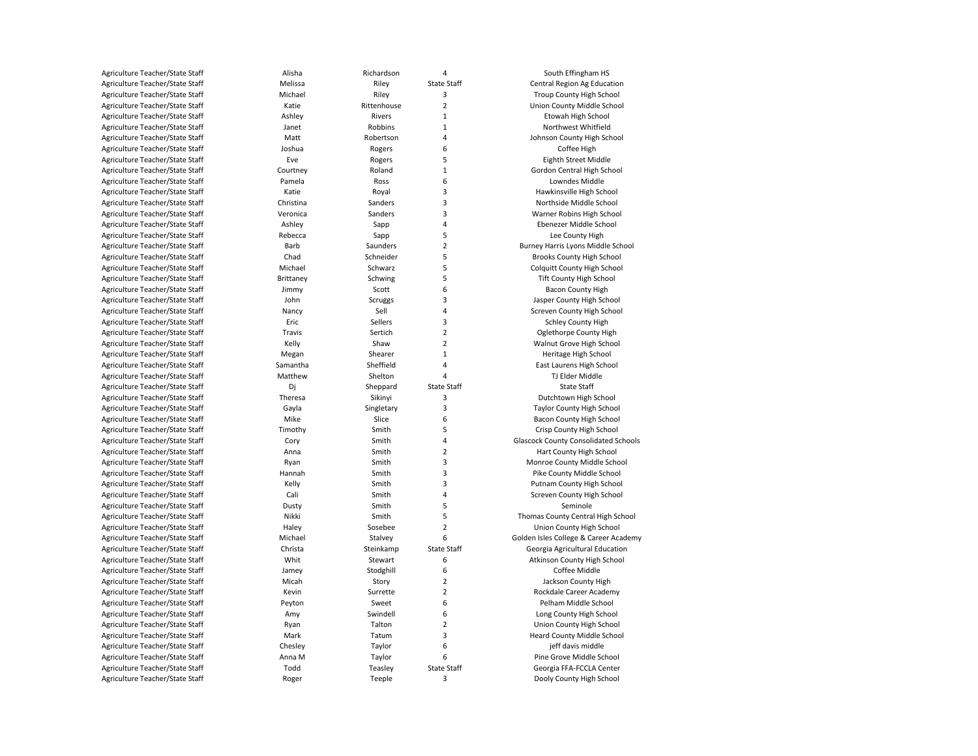| Agriculture Teacher/State Staff | Alisha              | Richardson           | 4                  | South Effingham HS                          |
|---------------------------------|---------------------|----------------------|--------------------|---------------------------------------------|
| Agriculture Teacher/State Staff | Melissa             | Riley                | <b>State Staff</b> | Central Region Ag Education                 |
| Agriculture Teacher/State Staff | Michael             | Riley                | 3                  | Troup County High School                    |
| Agriculture Teacher/State Staff | Katie               | Rittenhouse          | $\overline{2}$     | Union County Middle School                  |
| Agriculture Teacher/State Staff | Ashley              | Rivers               | $\mathbf{1}$       | Etowah High School                          |
| Agriculture Teacher/State Staff | Janet               | Robbins              | $\mathbf{1}$       | Northwest Whitfield                         |
| Agriculture Teacher/State Staff | Matt                | Robertson            | 4                  | Johnson County High School                  |
| Agriculture Teacher/State Staff | Joshua              | Rogers               | 6                  | Coffee High                                 |
| Agriculture Teacher/State Staff | Eve                 | Rogers               | 5                  | Eighth Street Middle                        |
| Agriculture Teacher/State Staff | Courtney            | Roland               | $\mathbf{1}$       | Gordon Central High School                  |
| Agriculture Teacher/State Staff | Pamela              | Ross                 | 6                  | Lowndes Middle                              |
| Agriculture Teacher/State Staff | Katie               | Royal                | 3                  | Hawkinsville High School                    |
| Agriculture Teacher/State Staff | Christina           | Sanders              | 3                  | Northside Middle School                     |
| Agriculture Teacher/State Staff | Veronica            | Sanders              | 3                  | Warner Robins High School                   |
| Agriculture Teacher/State Staff | Ashley              | Sapp                 | 4                  | Ebenezer Middle School                      |
| Agriculture Teacher/State Staff | Rebecca             | Sapp                 | 5                  | Lee County High                             |
| Agriculture Teacher/State Staff | Barb                | Saunders             | $\overline{2}$     | Burney Harris Lyons Middle School           |
| Agriculture Teacher/State Staff | Chad                | Schneider            | 5                  | Brooks County High School                   |
| Agriculture Teacher/State Staff | Michael             | Schwarz              | 5                  | <b>Colquitt County High School</b>          |
| Agriculture Teacher/State Staff | Brittaney           | Schwing              | 5                  | <b>Tift County High School</b>              |
| Agriculture Teacher/State Staff | Jimmy               | Scott                | 6                  | <b>Bacon County High</b>                    |
| Agriculture Teacher/State Staff | John                | Scruggs              | 3                  | Jasper County High School                   |
| Agriculture Teacher/State Staff | Nancy               | Sell                 | 4                  | Screven County High School                  |
| Agriculture Teacher/State Staff | Eric                | Sellers              | 3                  | <b>Schley County High</b>                   |
| Agriculture Teacher/State Staff | Travis              | Sertich              | $\overline{2}$     | Oglethorpe County High                      |
| Agriculture Teacher/State Staff | Kelly               | Shaw                 | $\overline{2}$     | Walnut Grove High School                    |
| Agriculture Teacher/State Staff |                     | Shearer              | $\mathbf{1}$       |                                             |
|                                 | Megan               |                      |                    | Heritage High School                        |
| Agriculture Teacher/State Staff | Samantha<br>Matthew | Sheffield<br>Shelton | 4<br>4             | East Laurens High School<br>TJ Elder Middle |
| Agriculture Teacher/State Staff |                     |                      |                    | <b>State Staff</b>                          |
| Agriculture Teacher/State Staff | Dj                  | Sheppard             | <b>State Staff</b> |                                             |
| Agriculture Teacher/State Staff | Theresa             | Sikinyi              | 3                  | Dutchtown High School                       |
| Agriculture Teacher/State Staff | Gayla               | Singletary           | 3                  | Taylor County High School                   |
| Agriculture Teacher/State Staff | Mike                | Slice                | 6                  | Bacon County High School                    |
| Agriculture Teacher/State Staff | Timothy             | Smith                | 5                  | Crisp County High School                    |
| Agriculture Teacher/State Staff | Cory                | Smith                | 4                  | <b>Glascock County Consolidated Schools</b> |
| Agriculture Teacher/State Staff | Anna                | Smith                | $\overline{2}$     | Hart County High School                     |
| Agriculture Teacher/State Staff | Ryan                | Smith                | 3                  | Monroe County Middle School                 |
| Agriculture Teacher/State Staff | Hannah              | Smith                | 3                  | Pike County Middle School                   |
| Agriculture Teacher/State Staff | Kelly               | Smith                | 3                  | Putnam County High School                   |
| Agriculture Teacher/State Staff | Cali                | Smith                | 4                  | Screven County High School                  |
| Agriculture Teacher/State Staff | Dusty               | Smith                | 5                  | Seminole                                    |
| Agriculture Teacher/State Staff | Nikki               | Smith                | 5                  | Thomas County Central High School           |
| Agriculture Teacher/State Staff | Haley               | Sosebee              | $\overline{2}$     | Union County High School                    |
| Agriculture Teacher/State Staff | Michael             | Stalvey              | 6                  | Golden Isles College & Career Academy       |
| Agriculture Teacher/State Staff | Christa             | Steinkamp            | <b>State Staff</b> | Georgia Agricultural Education              |
| Agriculture Teacher/State Staff | Whit                | Stewart              | 6                  | Atkinson County High School                 |
| Agriculture Teacher/State Staff | Jamey               | Stodghill            | 6                  | Coffee Middle                               |
| Agriculture Teacher/State Staff | Micah               | Story                | $\overline{2}$     | Jackson County High                         |
| Agriculture Teacher/State Staff | Kevin               | Surrette             | $\overline{2}$     | Rockdale Career Academy                     |
| Agriculture Teacher/State Staff | Peyton              | Sweet                | 6                  | Pelham Middle School                        |
| Agriculture Teacher/State Staff | Amy                 | Swindell             | 6                  | Long County High School                     |
| Agriculture Teacher/State Staff | Ryan                | Talton               | $\overline{2}$     | Union County High School                    |
| Agriculture Teacher/State Staff | Mark                | Tatum                | 3                  | <b>Heard County Middle School</b>           |
| Agriculture Teacher/State Staff | Chesley             | Taylor               | 6                  | jeff davis middle                           |
| Agriculture Teacher/State Staff | Anna M              | Taylor               | 6                  | Pine Grove Middle School                    |
| Agriculture Teacher/State Staff | Todd                | Teasley              | <b>State Staff</b> | Georgia FFA-FCCLA Center                    |
| Agriculture Teacher/State Staff | Roger               | Teeple               | 3                  | Dooly County High School                    |
|                                 |                     |                      |                    |                                             |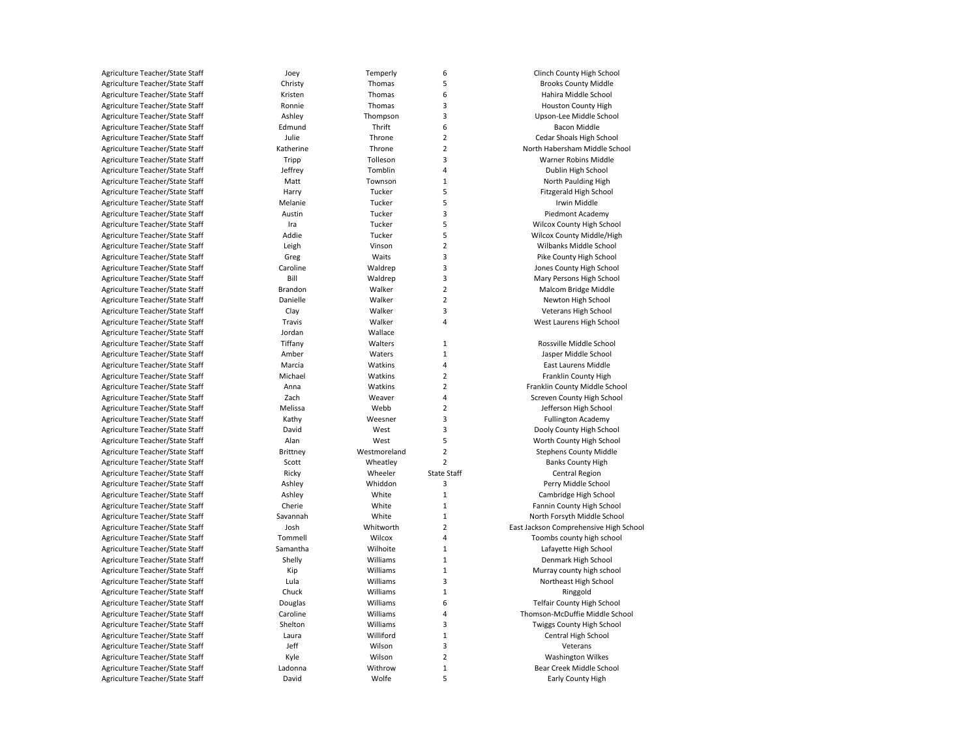| Agriculture Teacher/State Staff | Joey            | Temperly     | 6                  | Clinch County High School              |
|---------------------------------|-----------------|--------------|--------------------|----------------------------------------|
| Agriculture Teacher/State Staff | Christy         | Thomas       | 5                  | <b>Brooks County Middle</b>            |
| Agriculture Teacher/State Staff | Kristen         | Thomas       | 6                  | Hahira Middle School                   |
| Agriculture Teacher/State Staff | Ronnie          | Thomas       | 3                  | Houston County High                    |
| Agriculture Teacher/State Staff | Ashley          | Thompson     | 3                  | Upson-Lee Middle School                |
| Agriculture Teacher/State Staff | Edmund          | Thrift       | 6                  | Bacon Middle                           |
| Agriculture Teacher/State Staff | Julie           | Throne       | $\overline{2}$     | Cedar Shoals High School               |
| Agriculture Teacher/State Staff | Katherine       | Throne       | $\mathbf 2$        | North Habersham Middle School          |
| Agriculture Teacher/State Staff | Tripp           | Tolleson     | 3                  | Warner Robins Middle                   |
| Agriculture Teacher/State Staff | Jeffrey         | Tomblin      | 4                  | Dublin High School                     |
| Agriculture Teacher/State Staff | Matt            | Townson      | $\mathbf 1$        | North Paulding High                    |
| Agriculture Teacher/State Staff | Harry           | Tucker       | 5                  | Fitzgerald High School                 |
| Agriculture Teacher/State Staff | Melanie         | Tucker       | 5                  | Irwin Middle                           |
|                                 |                 |              |                    |                                        |
| Agriculture Teacher/State Staff | Austin          | Tucker       | 3                  | Piedmont Academy                       |
| Agriculture Teacher/State Staff | Ira             | Tucker       | 5                  | Wilcox County High School              |
| Agriculture Teacher/State Staff | Addie           | Tucker       | 5                  | Wilcox County Middle/High              |
| Agriculture Teacher/State Staff | Leigh           | Vinson       | $\mathbf 2$        | Wilbanks Middle School                 |
| Agriculture Teacher/State Staff | Greg            | Waits        | 3                  | Pike County High School                |
| Agriculture Teacher/State Staff | Caroline        | Waldrep      | 3                  | Jones County High School               |
| Agriculture Teacher/State Staff | Bill            | Waldrep      | 3                  | Mary Persons High School               |
| Agriculture Teacher/State Staff | Brandon         | Walker       | $\overline{2}$     | Malcom Bridge Middle                   |
| Agriculture Teacher/State Staff | Danielle        | Walker       | $\overline{2}$     | Newton High School                     |
| Agriculture Teacher/State Staff | Clay            | Walker       | 3                  | Veterans High School                   |
| Agriculture Teacher/State Staff | Travis          | Walker       | 4                  | West Laurens High School               |
| Agriculture Teacher/State Staff | Jordan          | Wallace      |                    |                                        |
| Agriculture Teacher/State Staff | Tiffany         | Walters      | $\mathbf 1$        | Rossville Middle School                |
| Agriculture Teacher/State Staff | Amber           | Waters       | $\mathbf 1$        | Jasper Middle School                   |
| Agriculture Teacher/State Staff | Marcia          | Watkins      | 4                  | East Laurens Middle                    |
| Agriculture Teacher/State Staff | Michael         | Watkins      | $\mathbf 2$        | Franklin County High                   |
| Agriculture Teacher/State Staff | Anna            | Watkins      | $\overline{2}$     | Franklin County Middle School          |
| Agriculture Teacher/State Staff | Zach            | Weaver       | 4                  | Screven County High School             |
| Agriculture Teacher/State Staff | Melissa         | Webb         | $\overline{2}$     | Jefferson High School                  |
| Agriculture Teacher/State Staff | Kathy           | Weesner      | 3                  | <b>Fullington Academy</b>              |
| Agriculture Teacher/State Staff | David           | West         | 3                  | Dooly County High School               |
| Agriculture Teacher/State Staff | Alan            | West         | 5                  | Worth County High School               |
| Agriculture Teacher/State Staff | <b>Brittney</b> | Westmoreland | $\overline{2}$     | <b>Stephens County Middle</b>          |
| Agriculture Teacher/State Staff | Scott           | Wheatley     | $\overline{2}$     | <b>Banks County High</b>               |
| Agriculture Teacher/State Staff | Ricky           | Wheeler      | <b>State Staff</b> | Central Region                         |
| Agriculture Teacher/State Staff | Ashley          | Whiddon      | 3                  | Perry Middle School                    |
| Agriculture Teacher/State Staff | Ashley          | White        | $\mathbf{1}$       | Cambridge High School                  |
| Agriculture Teacher/State Staff | Cherie          | White        | $\mathbf 1$        | Fannin County High School              |
| Agriculture Teacher/State Staff | Savannah        | White        | $\mathbf 1$        | North Forsyth Middle School            |
| Agriculture Teacher/State Staff | Josh            | Whitworth    | $\mathbf 2$        | East Jackson Comprehensive High School |
| Agriculture Teacher/State Staff | Tommell         | Wilcox       | 4                  | Toombs county high school              |
| Agriculture Teacher/State Staff | Samantha        | Wilhoite     | $\mathbf{1}$       | Lafayette High School                  |
| Agriculture Teacher/State Staff | Shelly          | Williams     | $\mathbf 1$        | Denmark High School                    |
| Agriculture Teacher/State Staff |                 |              | $\mathbf 1$        |                                        |
|                                 | Kip             | Williams     | 3                  | Murray county high school              |
| Agriculture Teacher/State Staff | Lula            | Williams     |                    | Northeast High School                  |
| Agriculture Teacher/State Staff | Chuck           | Williams     | $\mathbf 1$        | Ringgold                               |
| Agriculture Teacher/State Staff | Douglas         | Williams     | 6                  | <b>Telfair County High School</b>      |
| Agriculture Teacher/State Staff | Caroline        | Williams     | 4                  | Thomson-McDuffie Middle School         |
| Agriculture Teacher/State Staff | Shelton         | Williams     | 3                  | Twiggs County High School              |
| Agriculture Teacher/State Staff | Laura           | Williford    | $\mathbf 1$        | Central High School                    |
| Agriculture Teacher/State Staff | Jeff            | Wilson       | 3                  | Veterans                               |
| Agriculture Teacher/State Staff | Kyle            | Wilson       | $\overline{2}$     | <b>Washington Wilkes</b>               |
| Agriculture Teacher/State Staff | Ladonna         | Withrow      | $\mathbf 1$        | Bear Creek Middle School               |
| Agriculture Teacher/State Staff | David           | Wolfe        | 5                  | Early County High                      |
|                                 |                 |              |                    |                                        |